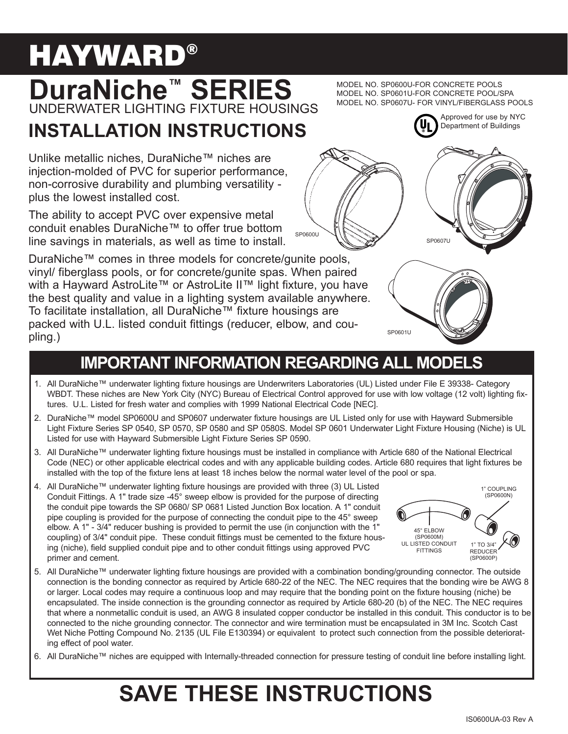# **HAYWARD®**

# **DuraNiche<sup>™</sup> SERIES** UNDERWATER LIGHTING FIXTURE HOUSINGS

# **INSTALLATION INSTRUCTIONS**

Unlike metallic niches, DuraNiche™ niches are injection-molded of PVC for superior performance, non-corrosive durability and plumbing versatility plus the lowest installed cost.

The ability to accept PVC over expensive metal conduit enables DuraNiche™ to offer true bottom line savings in materials, as well as time to install.

DuraNiche™ comes in three models for concrete/gunite pools, vinyl/ fiberglass pools, or for concrete/gunite spas. When paired with a Hayward AstroLite™ or AstroLite II™ light fixture, you have the best quality and value in a lighting system available anywhere. To facilitate installation, all DuraNiche<sup>™</sup> fixture housings are packed with U.L. listed conduit fittings (reducer, elbow, and coupling.)

### **IMPORTANT INFORMATION REGARDING ALL MODELS**

SP0600U

- 1. All DuraNiche™ underwater lighting fixture housings are Underwriters Laboratories (UL) Listed under File E 39338- Category WBDT. These niches are New York City (NYC) Bureau of Electrical Control approved for use with low voltage (12 volt) lighting fixtures. U.L. Listed for fresh water and complies with 1999 National Electrical Code [NEC].
- 2. DuraNiche™ model SP0600U and SP0607 underwater fixture housings are UL Listed only for use with Hayward Submersible Light Fixture Series SP 0540, SP 0570, SP 0580 and SP 0580S. Model SP 0601 Underwater Light Fixture Housing (Niche) is UL Listed for use with Hayward Submersible Light Fixture Series SP 0590.
- 3. All DuraNiche™ underwater lighting fixture housings must be installed in compliance with Article 680 of the National Electrical Code (NEC) or other applicable electrical codes and with any applicable building codes. Article 680 requires that light fixtures be installed with the top of the fixture lens at least 18 inches below the normal water level of the pool or spa.
- 4. All DuraNiche™ underwater lighting fixture housings are provided with three (3) UL Listed Conduit Fittings. A 1" trade size -45° sweep elbow is provided for the purpose of directing the conduit pipe towards the SP 0680/ SP 0681 Listed Junction Box location. A 1" conduit pipe coupling is provided for the purpose of connecting the conduit pipe to the 45° sweep elbow. A 1" - 3/4" reducer bushing is provided to permit the use (in conjunction with the 1" coupling) of 3/4" conduit pipe. These conduit fittings must be cemented to the fixture housing (niche), field supplied conduit pipe and to other conduit fittings using approved PVC primer and cement.
- 5. All DuraNiche™ underwater lighting fixture housings are provided with a combination bonding/grounding connector. The outside connection is the bonding connector as required by Article 680-22 of the NEC. The NEC requires that the bonding wire be AWG 8 or larger. Local codes may require a continuous loop and may require that the bonding point on the fixture housing (niche) be encapsulated. The inside connection is the grounding connector as required by Article 680-20 (b) of the NEC. The NEC requires that where a nonmetallic conduit is used, an AWG 8 insulated copper conductor be installed in this conduit. This conductor is to be connected to the niche grounding connector. The connector and wire termination must be encapsulated in 3M Inc. Scotch Cast Wet Niche Potting Compound No. 2135 (UL File E130394) or equivalent to protect such connection from the possible deteriorating effect of pool water.
- 6. All DuraNiche™ niches are equipped with Internally-threaded connection for pressure testing of conduit line before installing light.

# **SAVE THESE INSTRUCTIONS**

MODEL NO. SP0600U-FOR CONCRETE POOLS MODEL NO. SP0601U-FOR CONCRETE POOL/SPA MODEL NO. SP0607U- FOR VINYL/FIBERGLASS POOLS







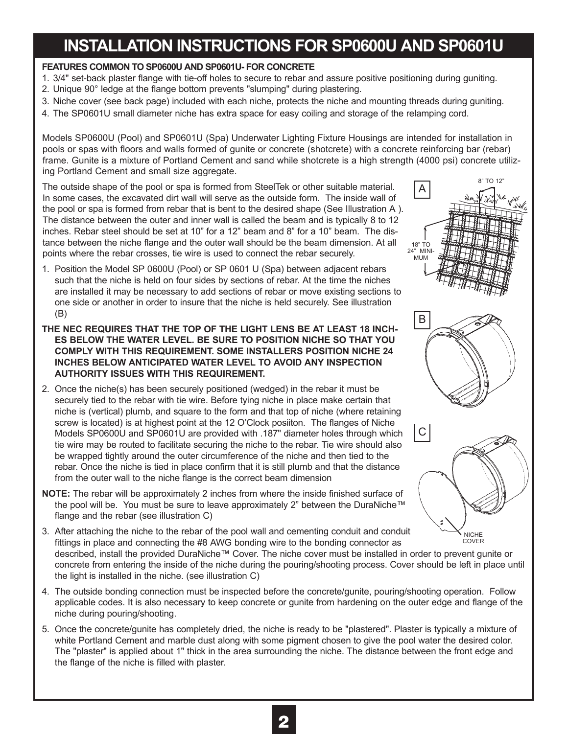## **INSTALLATION INSTRUCTIONS FOR SP0600U AND SP0601U**

#### **FEATURES COMMON TO SP0600U AND SP0601U- FOR CONCRETE**

- 1. 3/4" set-back plaster flange with tie-off holes to secure to rebar and assure positive positioning during guniting.
- 2. Unique 90° ledge at the flange bottom prevents "slumping" during plastering.
- 3. Niche cover (see back page) included with each niche, protects the niche and mounting threads during guniting.
- 4. The SP0601U small diameter niche has extra space for easy coiling and storage of the relamping cord.

Models SP0600U (Pool) and SP0601U (Spa) Underwater Lighting Fixture Housings are intended for installation in pools or spas with floors and walls formed of gunite or concrete (shotcrete) with a concrete reinforcing bar (rebar) frame. Gunite is a mixture of Portland Cement and sand while shotcrete is a high strength (4000 psi) concrete utilizing Portland Cement and small size aggregate.

The outside shape of the pool or spa is formed from SteelTek or other suitable material. In some cases, the excavated dirt wall will serve as the outside form. The inside wall of the pool or spa is formed from rebar that is bent to the desired shape (See Illustration A ). The distance between the outer and inner wall is called the beam and is typically 8 to 12 inches. Rebar steel should be set at 10" for a 12" beam and 8" for a 10" beam. The distance between the niche flange and the outer wall should be the beam dimension. At all points where the rebar crosses, tie wire is used to connect the rebar securely.

- 1. Position the Model SP 0600U (Pool) or SP 0601 U (Spa) between adjacent rebars such that the niche is held on four sides by sections of rebar. At the time the niches are installed it may be necessary to add sections of rebar or move existing sections to one side or another in order to insure that the niche is held securely. See illustration (B)
- **THE NEC REQUIRES THAT THE TOP OF THE LIGHT LENS BE AT LEAST 18 INCH-ES BELOW THE WATER LEVEL. BE SURE TO POSITION NICHE SO THAT YOU COMPLY WITH THIS REQUIREMENT. SOME INSTALLERS POSITION NICHE 24 INCHES BELOW ANTICIPATED WATER LEVEL TO AVOID ANY INSPECTION AUTHORITY ISSUES WITH THIS REQUIREMENT.**
- 2. Once the niche(s) has been securely positioned (wedged) in the rebar it must be securely tied to the rebar with tie wire. Before tying niche in place make certain that niche is (vertical) plumb, and square to the form and that top of niche (where retaining screw is located) is at highest point at the 12 O'Clock posiiton. The flanges of Niche Models SP0600U and SP0601U are provided with .187" diameter holes through which tie wire may be routed to facilitate securing the niche to the rebar. Tie wire should also be wrapped tightly around the outer circumference of the niche and then tied to the rebar. Once the niche is tied in place confirm that it is still plumb and that the distance from the outer wall to the niche flange is the correct beam dimension
- **NOTE:** The rebar will be approximately 2 inches from where the inside finished surface of the pool will be. You must be sure to leave approximately 2" between the DuraNiche™ flange and the rebar (see illustration C)
- 3. After attaching the niche to the rebar of the pool wall and cementing conduit and conduit fittings in place and connecting the #8 AWG bonding wire to the bonding connector as described, install the provided DuraNiche™ Cover. The niche cover must be installed in order to prevent gunite or concrete from entering the inside of the niche during the pouring/shooting process. Cover should be left in place until the light is installed in the niche. (see illustration C) NICHE COVER
- 4. The outside bonding connection must be inspected before the concrete/gunite, pouring/shooting operation. Follow applicable codes. It is also necessary to keep concrete or gunite from hardening on the outer edge and flange of the niche during pouring/shooting.
- 5. Once the concrete/gunite has completely dried, the niche is ready to be "plastered". Plaster is typically a mixture of white Portland Cement and marble dust along with some pigment chosen to give the pool water the desired color. The "plaster" is applied about 1" thick in the area surrounding the niche. The distance between the front edge and the flange of the niche is filled with plaster.



A

8" TO 12"



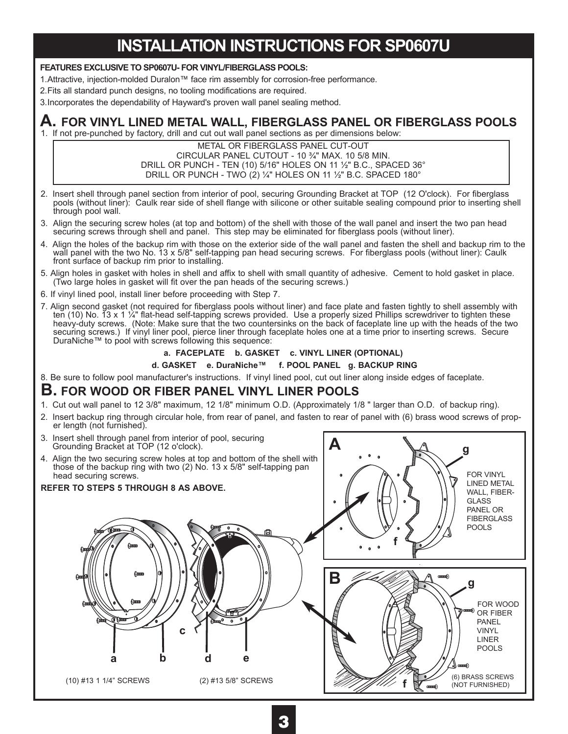### **INSTALLATION INSTRUCTIONS FOR SP0607U**

#### **FEATURES EXCLUSIVE TO SP0607U- FOR VINYL/FIBERGLASS POOLS:**

1. Attractive, injection-molded Duralon™ face rim assembly for corrosion-free performance.

2.Fits all standard punch designs, no tooling modifications are required.

3.Incorporates the dependability of Hayward's proven wall panel sealing method.

#### **A. FOR VINYL LINED METAL WALL, FIBERGLASS PANEL OR FIBERGLASS POOLS**

1. If not pre-punched by factory, drill and cut out wall panel sections as per dimensions below:

METAL OR FIBERGLASS PANEL CUT-OUT CIRCULAR PANEL CUTOUT - 10 %" MAX. 10 5/8 MIN. DRILL OR PUNCH - TEN (10) 5/16" HOLES ON 11 ½" B.C., SPACED 36° DRILL OR PUNCH - TWO (2)  $\frac{1}{4}$ " HOLES ON 11  $\frac{1}{2}$ " B.C. SPACED 180°

- 2. Insert shell through panel section from interior of pool, securing Grounding Bracket at TOP (12 O'clock). For fiberglass pools (without liner): Caulk rear side of shell flange with silicone or other suitable sealing compound prior to inserting shell through pool wall.
- 3. Align the securing screw holes (at top and bottom) of the shell with those of the wall panel and insert the two pan head securing screws through shell and panel. This step may be eliminated for fiberglass pools (without liner).
- 4. Align the holes of the backup rim with those on the exterior side of the wall panel and fasten the shell and backup rim to the wall panel with the two No. 13 x 5/8" self-tapping pan head securing screws. For fiberglass pools (without liner): Caulk front surface of backup rim prior to installing.
- 5. Align holes in gasket with holes in shell and affix to shell with small quantity of adhesive. Cement to hold gasket in place. (Two large holes in gasket will fit over the pan heads of the securing screws.)
- 6. If vinyl lined pool, install liner before proceeding with Step 7.
- 7. Align second gasket (not required for fiberglass pools without liner) and face plate and fasten tightly to shell assembly with ten (10) No. 13 x 1 ¼" flat-head self-tapping screws provided. Use a properly sized Phillips screwdriver to tighten these heavy-duty screws. (Note: Make sure that the two countersinks on the back of faceplate line up with the heads of the two securing screws.) If vinyl liner pool, pierce liner through faceplate holes one at a time prior to inserting screws. Secure  $Durability \sim 10$  to pool with screws following this sequence:

#### **a. FACEPLATE b. GASKET c. VINYL LINER (OPTIONAL)**

d. GASKET e. DuraNiche<sup>™</sup> f. POOL PANEL g. BACKUP RING

8. Be sure to follow pool manufacturer's instructions. If vinyl lined pool, cut out liner along inside edges of faceplate.

#### **B. FOR WOOD OR FIBER PANEL VINYL LINER POOLS**

- 1. Cut out wall panel to 12 3/8" maximum, 12 1/8" minimum O.D. (Approximately 1/8 " larger than O.D. of backup ring).
- 2. Insert backup ring through circular hole, from rear of panel, and fasten to rear of panel with (6) brass wood screws of prop- er length (not furnished).